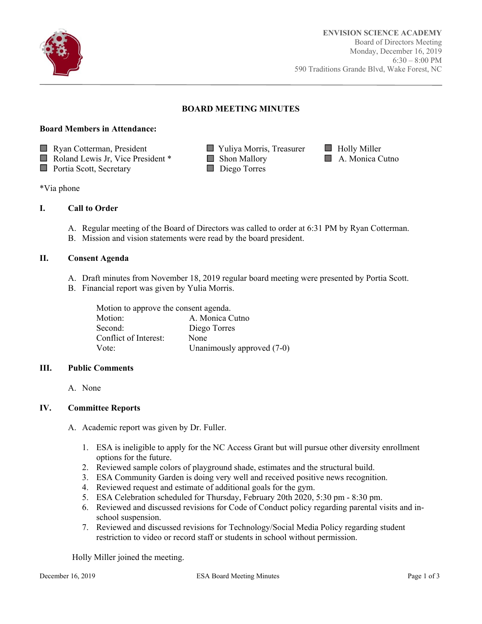

Ī

# **BOARD MEETING MINUTES**

#### **Board Members in Attendance:**





\*Via phone

## **I. Call to Order**

- A. Regular meeting of the Board of Directors was called to order at 6:31 PM by Ryan Cotterman.
- B. Mission and vision statements were read by the board president.

#### **II. Consent Agenda**

- A. Draft minutes from November 18, 2019 regular board meeting were presented by Portia Scott.
- B. Financial report was given by Yulia Morris.

| Motion to approve the consent agenda. |                              |  |
|---------------------------------------|------------------------------|--|
| Motion:                               | A. Monica Cutno              |  |
| Second:                               | Diego Torres                 |  |
| Conflict of Interest:                 | None                         |  |
| Vote:                                 | Unanimously approved $(7-0)$ |  |

## **III. Public Comments**

A. None

## **IV. Committee Reports**

- A. Academic report was given by Dr. Fuller.
	- 1. ESA is ineligible to apply for the NC Access Grant but will pursue other diversity enrollment options for the future.
	- 2. Reviewed sample colors of playground shade, estimates and the structural build.
	- 3. ESA Community Garden is doing very well and received positive news recognition.
	- 4. Reviewed request and estimate of additional goals for the gym.
	- 5. ESA Celebration scheduled for Thursday, February 20th 2020, 5:30 pm 8:30 pm.
	- 6. Reviewed and discussed revisions for Code of Conduct policy regarding parental visits and inschool suspension.
	- 7. Reviewed and discussed revisions for Technology/Social Media Policy regarding student restriction to video or record staff or students in school without permission.

Holly Miller joined the meeting.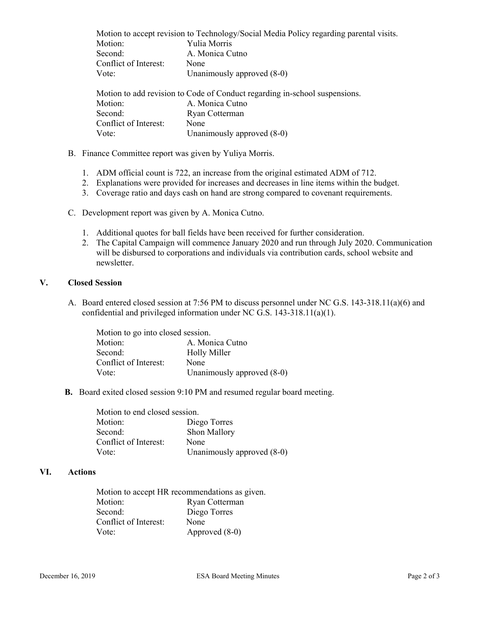Motion to accept revision to Technology/Social Media Policy regarding parental visits. Motion: Yulia Morris Second: A. Monica Cutno Conflict of Interest: None Vote: Unanimously approved  $(8-0)$ Motion to add revision to Code of Conduct regarding in-school suspensions. Motion: A. Monica Cutno Second: Ryan Cotterman Conflict of Interest: None Vote: Unanimously approved  $(8-0)$ 

- B. Finance Committee report was given by Yuliya Morris.
	- 1. ADM official count is 722, an increase from the original estimated ADM of 712.
	- 2. Explanations were provided for increases and decreases in line items within the budget.
	- 3. Coverage ratio and days cash on hand are strong compared to covenant requirements.
- C. Development report was given by A. Monica Cutno.
	- 1. Additional quotes for ball fields have been received for further consideration.
	- 2. The Capital Campaign will commence January 2020 and run through July 2020. Communication will be disbursed to corporations and individuals via contribution cards, school website and newsletter.

#### **V. Closed Session**

A. Board entered closed session at 7:56 PM to discuss personnel under NC G.S. 143-318.11(a)(6) and confidential and privileged information under NC G.S. 143-318.11(a)(1).

| Motion to go into closed session. |                            |  |
|-----------------------------------|----------------------------|--|
| Motion:                           | A. Monica Cutno            |  |
| Second:                           | <b>Holly Miller</b>        |  |
| Conflict of Interest:             | None                       |  |
| Vote:                             | Unanimously approved (8-0) |  |

 **B.** Board exited closed session 9:10 PM and resumed regular board meeting.

| Motion to end closed session. |                            |  |
|-------------------------------|----------------------------|--|
| Motion:                       | Diego Torres               |  |
| Second:                       | Shon Mallory               |  |
| Conflict of Interest:         | None                       |  |
| Vote:                         | Unanimously approved (8-0) |  |

## **VI. Actions**

| Motion to accept HR recommendations as given. |                |  |
|-----------------------------------------------|----------------|--|
| Motion:                                       | Ryan Cotterman |  |
| Second:                                       | Diego Torres   |  |
| Conflict of Interest:                         | None           |  |
| Vote:                                         | Approved (8-0) |  |